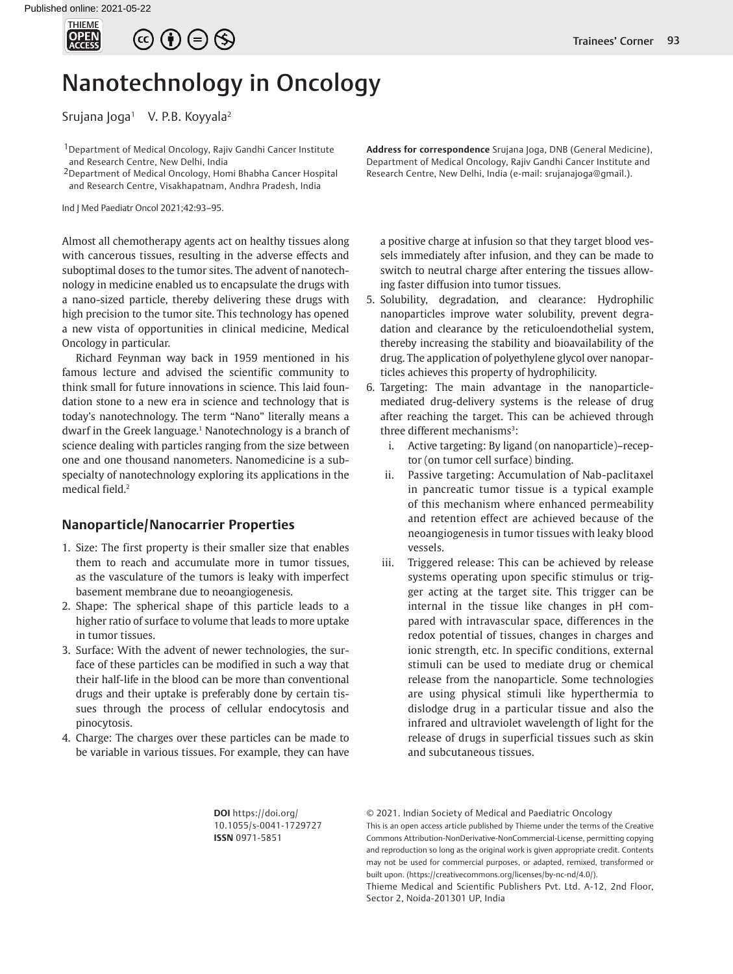

# $\circledcirc \oplus \circledcirc$

# Nanotechnology in Oncology

Srujana Joga<sup>1</sup> V. P.B. Koyyala<sup>2</sup>

<sup>1</sup> Department of Medical Oncology, Rajiv Gandhi Cancer Institute and Research Centre, New Delhi, India

2Department of Medical Oncology, Homi Bhabha Cancer Hospital and Research Centre, Visakhapatnam, Andhra Pradesh, India

Ind J Med Paediatr Oncol 2021;42:93–95.

Almost all chemotherapy agents act on healthy tissues along with cancerous tissues, resulting in the adverse effects and suboptimal doses to the tumor sites. The advent of nanotechnology in medicine enabled us to encapsulate the drugs with a nano-sized particle, thereby delivering these drugs with high precision to the tumor site. This technology has opened a new vista of opportunities in clinical medicine, Medical Oncology in particular.

Richard Feynman way back in 1959 mentioned in his famous lecture and advised the scientific community to think small for future innovations in science. This laid foundation stone to a new era in science and technology that is today's nanotechnology. The term "Nano" literally means a dwarf in the Greek language.<sup>1</sup> Nanotechnology is a branch of science dealing with particles ranging from the size between one and one thousand nanometers. Nanomedicine is a subspecialty of nanotechnology exploring its applications in the medical field.2

## **Nanoparticle/Nanocarrier Properties**

- 1. Size: The first property is their smaller size that enables them to reach and accumulate more in tumor tissues, as the vasculature of the tumors is leaky with imperfect basement membrane due to neoangiogenesis.
- 2. Shape: The spherical shape of this particle leads to a higher ratio of surface to volume that leads to more uptake in tumor tissues.
- 3. Surface: With the advent of newer technologies, the surface of these particles can be modified in such a way that their half-life in the blood can be more than conventional drugs and their uptake is preferably done by certain tissues through the process of cellular endocytosis and pinocytosis.
- 4. Charge: The charges over these particles can be made to be variable in various tissues. For example, they can have

**Address for correspondence** Srujana Joga, DNB (General Medicine), Department of Medical Oncology, Rajiv Gandhi Cancer Institute and Research Centre, New Delhi, India (e-mail: srujanajoga@gmail.).

a positive charge at infusion so that they target blood vessels immediately after infusion, and they can be made to switch to neutral charge after entering the tissues allowing faster diffusion into tumor tissues.

- 5. Solubility, degradation, and clearance: Hydrophilic nanoparticles improve water solubility, prevent degradation and clearance by the reticuloendothelial system, thereby increasing the stability and bioavailability of the drug. The application of polyethylene glycol over nanoparticles achieves this property of hydrophilicity.
- 6. Targeting: The main advantage in the nanoparticlemediated drug-delivery systems is the release of drug after reaching the target. This can be achieved through three different mechanisms<sup>3</sup>:
	- i. Active targeting: By ligand (on nanoparticle)–receptor (on tumor cell surface) binding.
	- ii. Passive targeting: Accumulation of Nab-paclitaxel in pancreatic tumor tissue is a typical example of this mechanism where enhanced permeability and retention effect are achieved because of the neoangiogenesis in tumor tissues with leaky blood vessels.
	- iii. Triggered release: This can be achieved by release systems operating upon specific stimulus or trigger acting at the target site. This trigger can be internal in the tissue like changes in pH compared with intravascular space, differences in the redox potential of tissues, changes in charges and ionic strength, etc. In specific conditions, external stimuli can be used to mediate drug or chemical release from the nanoparticle. Some technologies are using physical stimuli like hyperthermia to dislodge drug in a particular tissue and also the infrared and ultraviolet wavelength of light for the release of drugs in superficial tissues such as skin and subcutaneous tissues.

**DOI** https://doi.org/ 10.1055/s-0041-1729727 **ISSN** 0971-5851

© 2021. Indian Society of Medical and Paediatric Oncology

This is an open access article published by Thieme under the terms of the Creative Commons Attribution-NonDerivative-NonCommercial-License, permitting copying and reproduction so long as the original work is given appropriate credit. Contents may not be used for commercial purposes, or adapted, remixed, transformed or built upon. (https://creativecommons.org/licenses/by-nc-nd/4.0/).

Thieme Medical and Scientific Publishers Pvt. Ltd. A-12, 2nd Floor, Sector 2, Noida-201301 UP, India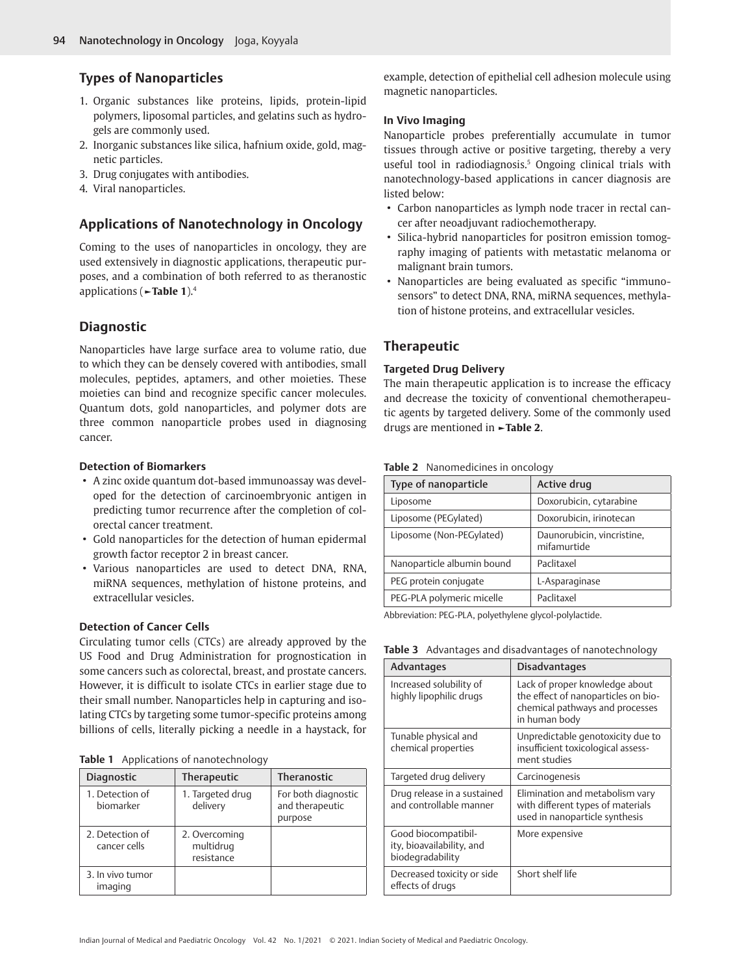# **Types of Nanoparticles**

- 1. Organic substances like proteins, lipids, protein-lipid polymers, liposomal particles, and gelatins such as hydrogels are commonly used.
- 2. Inorganic substances like silica, hafnium oxide, gold, magnetic particles.
- 3. Drug conjugates with antibodies.
- 4. Viral nanoparticles.

# **Applications of Nanotechnology in Oncology**

Coming to the uses of nanoparticles in oncology, they are used extensively in diagnostic applications, therapeutic purposes, and a combination of both referred to as theranostic applications (**►Table 1**).4

# **Diagnostic**

Nanoparticles have large surface area to volume ratio, due to which they can be densely covered with antibodies, small molecules, peptides, aptamers, and other moieties. These moieties can bind and recognize specific cancer molecules. Quantum dots, gold nanoparticles, and polymer dots are three common nanoparticle probes used in diagnosing cancer.

### **Detection of Biomarkers**

- A zinc oxide quantum dot-based immunoassay was developed for the detection of carcinoembryonic antigen in predicting tumor recurrence after the completion of colorectal cancer treatment.
- Gold nanoparticles for the detection of human epidermal growth factor receptor 2 in breast cancer.
- Various nanoparticles are used to detect DNA, RNA, miRNA sequences, methylation of histone proteins, and extracellular vesicles.

## **Detection of Cancer Cells**

Circulating tumor cells (CTCs) are already approved by the US Food and Drug Administration for prognostication in some cancers such as colorectal, breast, and prostate cancers. However, it is difficult to isolate CTCs in earlier stage due to their small number. Nanoparticles help in capturing and isolating CTCs by targeting some tumor-specific proteins among billions of cells, literally picking a needle in a haystack, for

|  | Table 1 Applications of nanotechnology |  |  |
|--|----------------------------------------|--|--|
|--|----------------------------------------|--|--|

| <b>Diagnostic</b>               | <b>Therapeutic</b>                       | <b>Theranostic</b>                                |
|---------------------------------|------------------------------------------|---------------------------------------------------|
| 1. Detection of<br>biomarker    | 1. Targeted drug<br>delivery             | For both diagnostic<br>and therapeutic<br>purpose |
| 2. Detection of<br>cancer cells | 2. Overcoming<br>multidrug<br>resistance |                                                   |
| 3. In vivo tumor<br>imaging     |                                          |                                                   |

example, detection of epithelial cell adhesion molecule using magnetic nanoparticles.

## **In Vivo Imaging**

Nanoparticle probes preferentially accumulate in tumor tissues through active or positive targeting, thereby a very useful tool in radiodiagnosis.<sup>5</sup> Ongoing clinical trials with nanotechnology-based applications in cancer diagnosis are listed below:

- Carbon nanoparticles as lymph node tracer in rectal cancer after neoadjuvant radiochemotherapy.
- Silica-hybrid nanoparticles for positron emission tomography imaging of patients with metastatic melanoma or malignant brain tumors.
- Nanoparticles are being evaluated as specific "immunosensors" to detect DNA, RNA, miRNA sequences, methylation of histone proteins, and extracellular vesicles.

# **Therapeutic**

### **Targeted Drug Delivery**

The main therapeutic application is to increase the efficacy and decrease the toxicity of conventional chemotherapeutic agents by targeted delivery. Some of the commonly used drugs are mentioned in **►Table 2**.

| Type of nanoparticle       | Active drug                               |  |
|----------------------------|-------------------------------------------|--|
| Liposome                   | Doxorubicin, cytarabine                   |  |
| Liposome (PEGylated)       | Doxorubicin, irinotecan                   |  |
| Liposome (Non-PEGylated)   | Daunorubicin, vincristine,<br>mifamurtide |  |
| Nanoparticle albumin bound | Paclitaxel                                |  |
| PEG protein conjugate      | L-Asparaginase                            |  |
| PEG-PLA polymeric micelle  | Paclitaxel                                |  |

**Table 2** Nanomedicines in oncology

Abbreviation: PEG-PLA, polyethylene glycol-polylactide.

| Advantages                                                           | <b>Disadvantages</b>                                                                                                      |  |
|----------------------------------------------------------------------|---------------------------------------------------------------------------------------------------------------------------|--|
| Increased solubility of<br>highly lipophilic drugs                   | Lack of proper knowledge about<br>the effect of nanoparticles on bio-<br>chemical pathways and processes<br>in human body |  |
| Tunable physical and<br>chemical properties                          | Unpredictable genotoxicity due to<br>insufficient toxicological assess-<br>ment studies                                   |  |
| Targeted drug delivery                                               | Carcinogenesis                                                                                                            |  |
| Drug release in a sustained<br>and controllable manner               | Elimination and metabolism vary<br>with different types of materials<br>used in nanoparticle synthesis                    |  |
| Good biocompatibil-<br>ity, bioavailability, and<br>biodegradability | More expensive                                                                                                            |  |
| Decreased toxicity or side<br>effects of drugs                       | Short shelf life                                                                                                          |  |